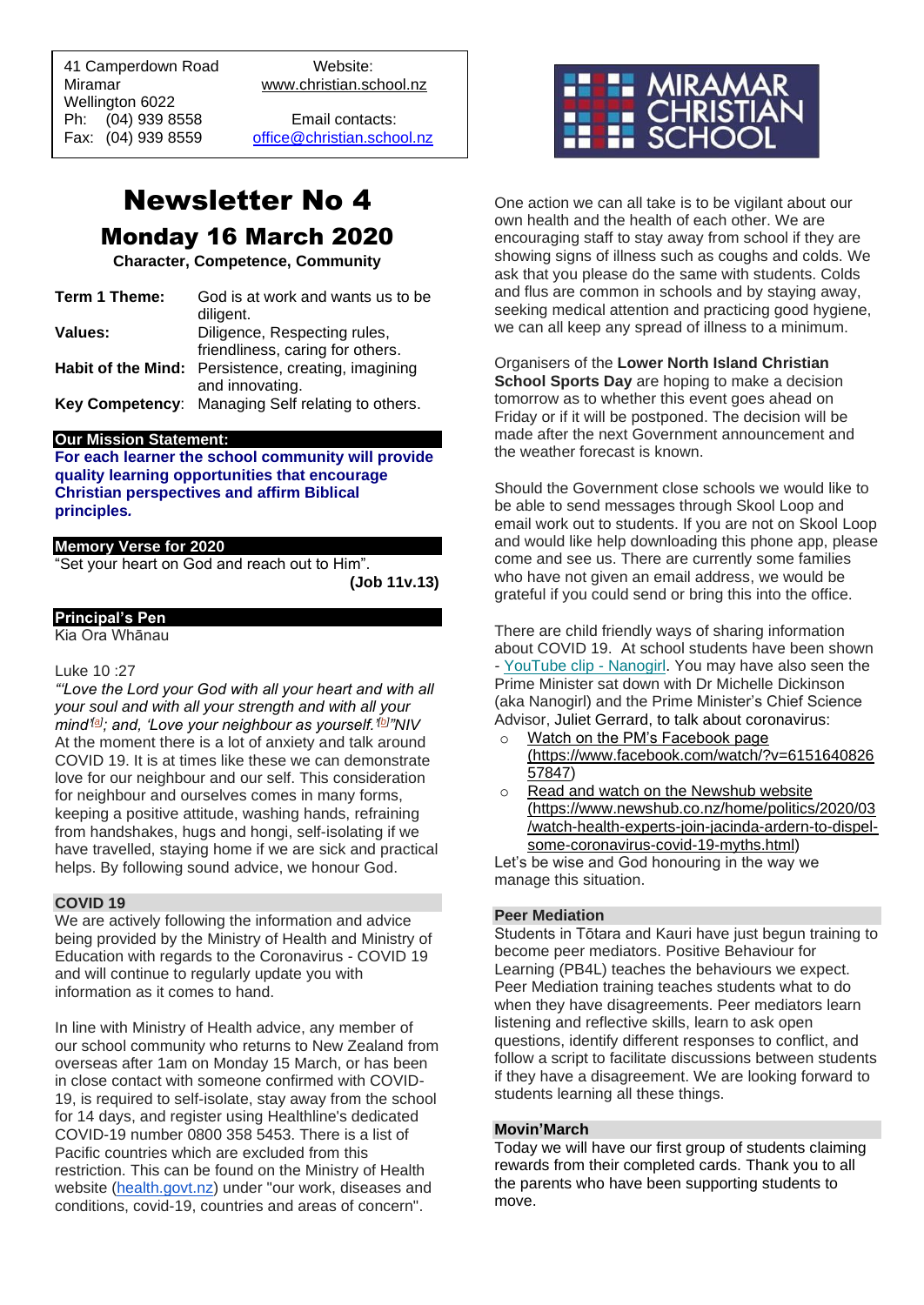41 Camperdown Road Website: Miramar www.christian.school.nz Wellington 6022 Ph: (04) 939 8558 Email contacts:

 $\overline{a}$ 

Fax: (04) 939 8559 [office@christian.school.nz](mailto:office@christian.school.nz)

# Newsletter No 4 Monday 16 March 2020

**Character, Competence, Community**

| Term 1 Theme: | God is at work and wants us to be                   |
|---------------|-----------------------------------------------------|
|               | diligent.                                           |
| Values:       | Diligence, Respecting rules,                        |
|               | friendliness, caring for others.                    |
|               | Habit of the Mind: Persistence, creating, imagining |
|               | and innovating.                                     |
|               | Key Competency: Managing Self relating to others.   |

#### **Our Mission Statement:**

**For each learner the school community will provide quality learning opportunities that encourage Christian perspectives and affirm Biblical principles***.*

### **Memory Verse for 2020**

"Set your heart on God and reach out to Him".

**(Job 11v.13)**

## **Principal's Pen**

Kia Ora Whānau

### Luke 10 :27

*"'Love the Lord your God with all your heart and with all your soul and with all your strength and with all your mind'[\[a\]](https://www.biblegateway.com/passage/?search=Luke+10%3A27&version=NIV#fen-NIV-25391a) ; and, 'Love your neighbour as yourself.'[\[b\]](https://www.biblegateway.com/passage/?search=Luke+10%3A27&version=NIV#fen-NIV-25391b) "NIV* At the moment there is a lot of anxiety and talk around COVID 19. It is at times like these we can demonstrate love for our neighbour and our self. This consideration for neighbour and ourselves comes in many forms, keeping a positive attitude, washing hands, refraining from handshakes, hugs and hongi, self-isolating if we have travelled, staying home if we are sick and practical helps. By following sound advice, we honour God.

#### **COVID 19**

We are actively following the information and advice being provided by the Ministry of Health and Ministry of Education with regards to the Coronavirus - COVID 19 and will continue to regularly update you with information as it comes to hand.

In line with Ministry of Health advice, any member of our school community who returns to New Zealand from overseas after 1am on Monday 15 March, or has been in close contact with someone confirmed with COVID-19, is required to self-isolate, stay away from the school for 14 days, and register using Healthline's dedicated COVID-19 number 0800 358 5453. There is a list of Pacific countries which are excluded from this restriction. This can be found on the Ministry of Health website [\(health.govt.nz\)](http://health.govt.nz/) under "our work, diseases and conditions, covid-19, countries and areas of concern".



One action we can all take is to be vigilant about our own health and the health of each other. We are encouraging staff to stay away from school if they are showing signs of illness such as coughs and colds. We ask that you please do the same with students. Colds and flus are common in schools and by staying away, seeking medical attention and practicing good hygiene, we can all keep any spread of illness to a minimum.

Organisers of the **Lower North Island Christian School Sports Day** are hoping to make a decision tomorrow as to whether this event goes ahead on Friday or if it will be postponed. The decision will be made after the next Government announcement and the weather forecast is known.

Should the Government close schools we would like to be able to send messages through Skool Loop and email work out to students. If you are not on Skool Loop and would like help downloading this phone app, please come and see us. There are currently some families who have not given an email address, we would be grateful if you could send or bring this into the office.

There are child friendly ways of sharing information about COVID 19. At school students have been shown *-* [YouTube clip -](https://govt.us3.list-manage.com/track/click?u=2f59fcd18a691d315b5a045cb&id=90d68764de&e=9f6dfc3458) Nanogirl. You may have also seen the Prime Minister sat down with Dr Michelle Dickinson (aka Nanogirl) and the Prime Minister's Chief Science Advisor, Juliet Gerrard, to talk about coronavirus:

- o [Watch on the PM's Facebook page](https://govt.us3.list-manage.com/track/click?u=2f59fcd18a691d315b5a045cb&id=6e33302b02&e=9f6dfc3458) [\(https://www.facebook.com/watch/?v=6151640826](https://www.facebook.com/watch/?v=615164082657847) [57847\)](https://www.facebook.com/watch/?v=615164082657847)
- o [Read and watch on the Newshub website](https://govt.us3.list-manage.com/track/click?u=2f59fcd18a691d315b5a045cb&id=2ce34b1e76&e=9f6dfc3458) [\(https://www.newshub.co.nz/home/politics/2020/03](https://www.newshub.co.nz/home/politics/2020/03/watch-health-experts-join-jacinda-ardern-to-dispel-some-coronavirus-covid-19-myths.html) [/watch-health-experts-join-jacinda-ardern-to-dispel](https://www.newshub.co.nz/home/politics/2020/03/watch-health-experts-join-jacinda-ardern-to-dispel-some-coronavirus-covid-19-myths.html)[some-coronavirus-covid-19-myths.html\)](https://www.newshub.co.nz/home/politics/2020/03/watch-health-experts-join-jacinda-ardern-to-dispel-some-coronavirus-covid-19-myths.html)

Let's be wise and God honouring in the way we manage this situation.

#### **Peer Mediation**

Students in Tōtara and Kauri have just begun training to become peer mediators. Positive Behaviour for Learning (PB4L) teaches the behaviours we expect. Peer Mediation training teaches students what to do when they have disagreements. Peer mediators learn listening and reflective skills, learn to ask open questions, identify different responses to conflict, and follow a script to facilitate discussions between students if they have a disagreement. We are looking forward to students learning all these things.

#### **Movin'March**

Today we will have our first group of students claiming rewards from their completed cards. Thank you to all the parents who have been supporting students to move.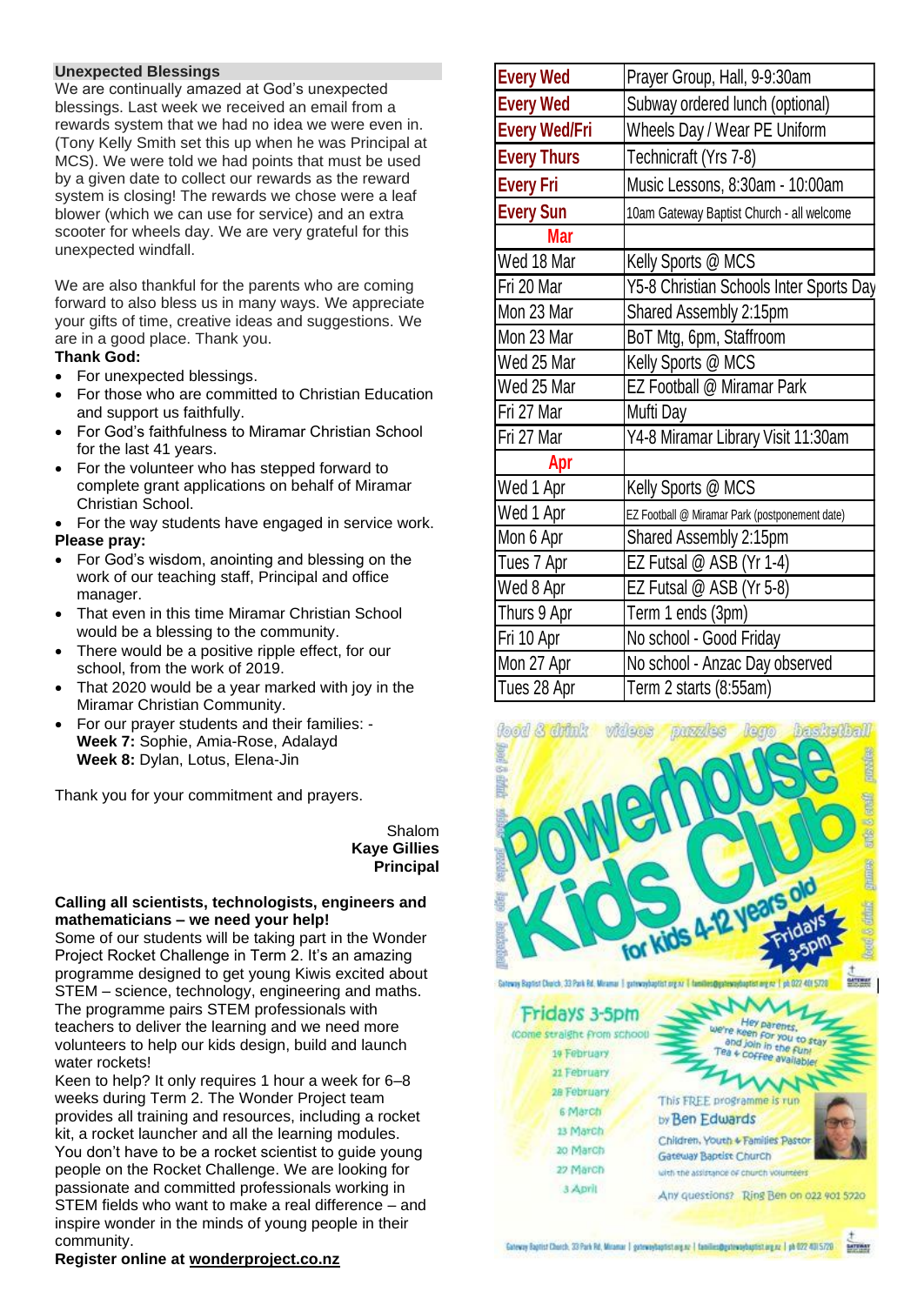### **Unexpected Blessings**

We are continually amazed at God's unexpected blessings. Last week we received an email from a rewards system that we had no idea we were even in. (Tony Kelly Smith set this up when he was Principal at MCS). We were told we had points that must be used by a given date to collect our rewards as the reward system is closing! The rewards we chose were a leaf blower (which we can use for service) and an extra scooter for wheels day. We are very grateful for this unexpected windfall.

We are also thankful for the parents who are coming forward to also bless us in many ways. We appreciate your gifts of time, creative ideas and suggestions. We are in a good place. Thank you.

## **Thank God:**

- For unexpected blessings.
- For those who are committed to Christian Education and support us faithfully.
- For God's faithfulness to Miramar Christian School for the last 41 years.
- For the volunteer who has stepped forward to complete grant applications on behalf of Miramar Christian School.

• For the way students have engaged in service work. **Please pray:** 

- For God's wisdom, anointing and blessing on the work of our teaching staff, Principal and office manager.
- That even in this time Miramar Christian School would be a blessing to the community.
- There would be a positive ripple effect, for our school, from the work of 2019.
- That 2020 would be a year marked with joy in the Miramar Christian Community.
- For our prayer students and their families: **Week 7:** Sophie, Amia-Rose, Adalayd **Week 8:** Dylan, Lotus, Elena-Jin

Thank you for your commitment and prayers.

Shalom **Kaye Gillies Principal**

#### **Calling all scientists, technologists, engineers and mathematicians – we need your help!**

Some of our students will be taking part in the Wonder Project Rocket Challenge in Term 2. It's an amazing programme designed to get young Kiwis excited about STEM – science, technology, engineering and maths. The programme pairs STEM professionals with teachers to deliver the learning and we need more volunteers to help our kids design, build and launch water rockets!

Keen to help? It only requires 1 hour a week for 6–8 weeks during Term 2. The Wonder Project team provides all training and resources, including a rocket kit, a rocket launcher and all the learning modules. You don't have to be a rocket scientist to guide young people on the Rocket Challenge. We are looking for passionate and committed professionals working in STEM fields who want to make a real difference – and inspire wonder in the minds of young people in their community.

# **Every Wed** Prayer Group, Hall, 9-9:30am **Every Wed Subway ordered lunch (optional) Every Wed/Fri** Wheels Day / Wear PE Uniform **Every Thurs** Technicraft (Yrs 7-8) **Every Fri** Music Lessons, 8:30am - 10:00am **Every Sun** 10am Gateway Baptist Church - all welcome **Mar** Wed 18 Mar Kelly Sports @ MCS Fri 20 Mar Y5-8 Christian Schools Inter Sports Day Mon 23 Mar Shared Assembly 2:15pm Mon 23 Mar BoT Mtg, 6pm, Staffroom Wed 25 Mar Kelly Sports @ MCS Wed 25 Mar **IFZ Football @ Miramar Park** Fri 27 Mar Mufti Dav Fri 27 Mar Y4-8 Miramar Library Visit 11:30am **Apr** Wed 1 Apr **Kelly Sports @ MCS** Wed 1 Apr **EZ Football @ Miramar Park (postponement date)** Mon 6 Apr **Shared Assembly 2:15pm** Tues 7 Apr **IFZ Futsal @ ASB (Yr 1-4)** Wed 8 Apr **IEZ Futsal @ ASB (Yr 5-8)** Thurs 9 Apr Term 1 ends (3pm) Fri 10 Apr **No school - Good Friday** Mon 27 Apr **No school - Anzac Day observed** Tues 28 Apr  $\vert$ Term 2 starts (8:55am)